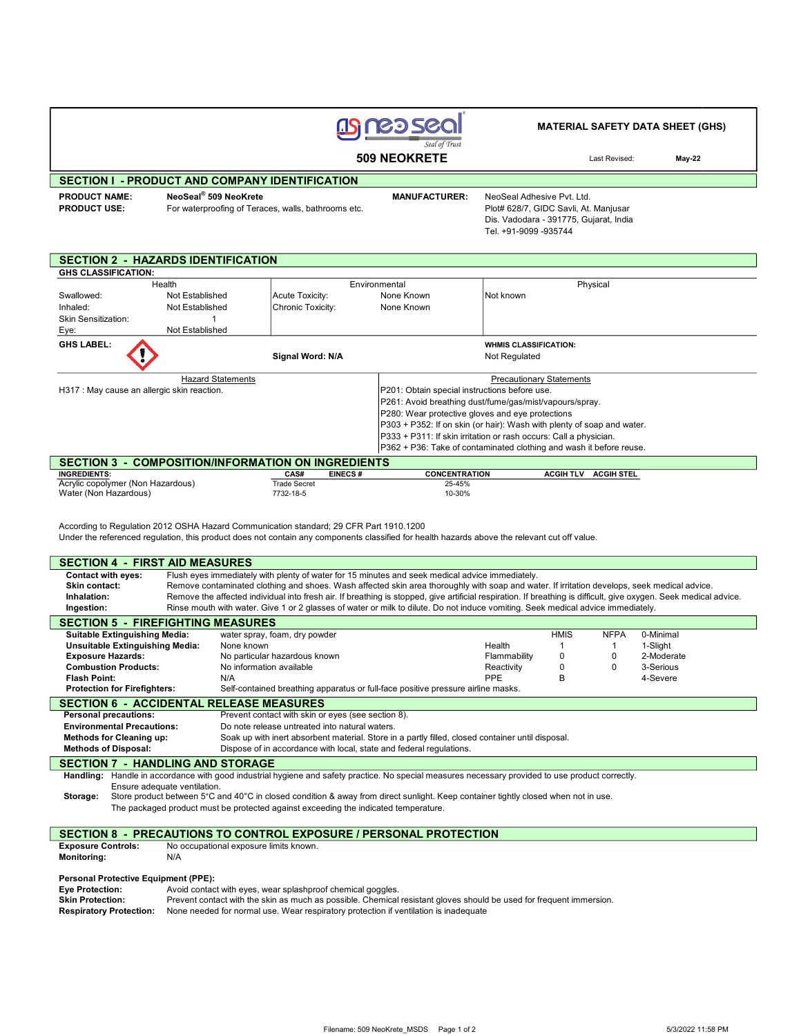

### MATERIAL SAFETY DATA SHEET (GHS)

Last Revised: May-22

# SECTION I - PRODUCT AND COMPANY IDENTIFICATION

PRODUCT NAME: PRODUCT USE:

Г

NeoSeal® 509 NeoKrete For waterproofing of Teraces, walls, bathrooms etc.

٦

 MANUFACTURER: NeoSeal Adhesive Pvt. Ltd. Plot# 628/7, GIDC Savli, At. Manjusar Dis. Vadodara - 391775, Gujarat, India Tel. +91-9099 -935744

# SECTION 2 - HAZARDS IDENTIFICATION

| <b>GHS CLASSIFICATION:</b>                  |                                               |                   |                               |                                                         |                                                                        |  |  |
|---------------------------------------------|-----------------------------------------------|-------------------|-------------------------------|---------------------------------------------------------|------------------------------------------------------------------------|--|--|
| Health                                      |                                               | Environmental     |                               |                                                         | Physical                                                               |  |  |
| Swallowed:                                  | Not Established                               |                   | Acute Toxicity:<br>None Known |                                                         | Not known                                                              |  |  |
| Inhaled:                                    | Not Established                               | Chronic Toxicity: |                               | None Known                                              |                                                                        |  |  |
| <b>Skin Sensitization:</b>                  |                                               |                   |                               |                                                         |                                                                        |  |  |
| Eye:                                        | Not Established                               |                   |                               |                                                         |                                                                        |  |  |
| <b>GHS LABEL:</b>                           |                                               |                   |                               |                                                         | <b>WHMIS CLASSIFICATION:</b>                                           |  |  |
|                                             |                                               | Signal Word: N/A  |                               |                                                         | Not Regulated                                                          |  |  |
|                                             |                                               |                   |                               |                                                         |                                                                        |  |  |
|                                             | <b>Hazard Statements</b>                      |                   |                               |                                                         | <b>Precautionary Statements</b>                                        |  |  |
| H317 : May cause an allergic skin reaction. |                                               |                   |                               | P201: Obtain special instructions before use.           |                                                                        |  |  |
|                                             |                                               |                   |                               | P261: Avoid breathing dust/fume/gas/mist/vapours/spray. |                                                                        |  |  |
|                                             |                                               |                   |                               | P280: Wear protective gloves and eye protections        |                                                                        |  |  |
|                                             |                                               |                   |                               |                                                         | P303 + P352: If on skin (or hair): Wash with plenty of soap and water. |  |  |
|                                             |                                               |                   |                               |                                                         | P333 + P311: If skin irritation or rash occurs: Call a physician.      |  |  |
|                                             |                                               |                   |                               |                                                         | P362 + P36: Take of contaminated clothing and wash it before reuse.    |  |  |
| <b>SECTION 3</b>                            | <b>COMPOSITION/INFORMATION ON INGREDIENTS</b> |                   |                               |                                                         |                                                                        |  |  |
| <b>INGREDIENTS:</b>                         |                                               | <b>CAS#</b>       | <b>FINECS #</b>               | <b>CONCENTRATION</b>                                    | ACGIH TI V<br>ACGIH STEI                                               |  |  |

| <b>INGREDIENTS:</b>               | <b>CAS#</b>  | <b>EINECS#</b> | <b>CONCENTRATION</b> | <b>ACGIH TLV</b> | <b>ACGIH STEL</b> |
|-----------------------------------|--------------|----------------|----------------------|------------------|-------------------|
| Acrylic copolymer (Non Hazardous) | Trade Secret |                | 25-45%               |                  |                   |
| Water (Non Hazardous)             | 7732-18-5    |                | 10-30%               |                  |                   |

According to Regulation 2012 OSHA Hazard Communication standard; 29 CFR Part 1910.1200

Under the referenced regulation, this product does not contain any components classified for health hazards above the relevant cut off value.

#### SECTION 4 - FIRST AID MEASURES Contact with eyes: Flush eyes immediately with plenty of water for 15 minutes and seek medical advice immediately. Skin contact: Remove contaminated clothing and shoes. Wash affected skin area thoroughly with soap and water. If irritation develops, seek medical advice. Inhalation: Remove the affected individual into fresh air. If breathing is stopped, give artificial respiration. If breathing is difficult, give oxygen. Seek medical advice.<br>
Ingestion: Rinse mouth with water. Give 1 or 2 Rinse mouth with water. Give 1 or 2 glasses of water or milk to dilute. Do not induce vomiting. Seek medical advice immediately. SECTION 5 - FIREFIGHTING MEASURES Suitable Extinguishing Media: water spray, foam, dry powder extinguishing Media: water spray, foam, dry powder<br>
1 1-Slight - Unsuitable Extinguishing Media: None known Unsuitable Extinguishing Media: None known None and Sight and Dealth 1 1 1-Slight<br>
Exposure Hazards: No particular hazardous known None and Health 1 0 2-Moderate No particular hazardous known<br>
No information available<br>
No information available<br>
No information available<br>
No information available<br>
No information available<br>
No information available<br>
No information available<br>
No inform **Combustion Products:** No information available **Notain Combustion Combustion Products:** No information available **Reactivity Reactivity B** 0 3-Serious Products: Reactivity B 4-Severe Flash Point: N/A N/A Revere Reserve that the Severe Reserve that the PPE B 4-Severe Protection for Firefighters: Self-contained breathing apparatus or full-face positive pressure airline masks **SECTION 6 - ACCIDENTAL RELEASE MEASURES**<br>Personal precautions: Prevent contact with skin or Prevent contact with skin or eyes (see section 8). Environmental Precautions: Do note release untreated into natural waters. Methods for Cleaning up: Soak up with inert absorbent material. Store in a partly filled, closed container until disposal. Methods of Disposal: Dispose of in accordance with local, state and federal regulations. SECTION 7 - HANDLING AND STORAGE Handling: Handle in accordance with good industrial hygiene and safety practice. No special measures necessary provided to use product correctly. Ensure adequate ventilation. Storage: Store product between 5°C and 40°C in closed condition & away from direct sunlight. Keep container tightly closed when not in use. The packaged product must be protected against exceeding the indicated temperature.

## SECTION 8 - PRECAUTIONS TO CONTROL EXPOSURE / PERSONAL PROTECTION

| <b>Exposure Controls:</b> | No occupational exposure limits known. |  |  |  |  |  |
|---------------------------|----------------------------------------|--|--|--|--|--|
| <b>Monitoring:</b>        | N/A                                    |  |  |  |  |  |
| .                         |                                        |  |  |  |  |  |

## Personal Protective Equipment (PPE): Eye Protection: Avoid contact with eyes, wear splashproof chemical goggles.

|                  | .                                                                                                                   |
|------------------|---------------------------------------------------------------------------------------------------------------------|
| Skin Protection: | Prevent contact with the skin as much as possible. Chemical resistant gloves should be used for frequent immersion. |
|                  | <b>Respiratory Protection:</b> None needed for normal use. Wear respiratory protection if ventilation is inadequate |